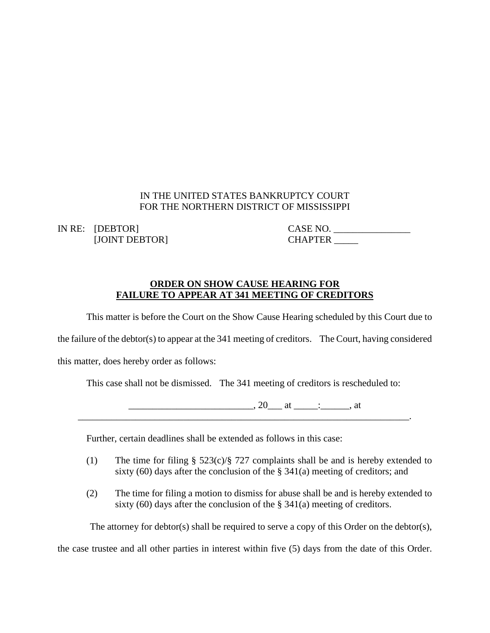## IN THE UNITED STATES BANKRUPTCY COURT FOR THE NORTHERN DISTRICT OF MISSISSIPPI

[JOINT DEBTOR] CHAPTER \_\_\_\_\_

IN RE: [DEBTOR] CASE NO.

## **ORDER ON SHOW CAUSE HEARING FOR FAILURE TO APPEAR AT 341 MEETING OF CREDITORS**

This matter is before the Court on the Show Cause Hearing scheduled by this Court due to

the failure of the debtor(s) to appear at the 341 meeting of creditors. The Court, having considered

this matter, does hereby order as follows:

This case shall not be dismissed. The 341 meeting of creditors is rescheduled to:

 $\ldots$ , 20\_\_\_ at \_\_\_\_\_\_\_\_\_, at

Further, certain deadlines shall be extended as follows in this case:

- (1) The time for filing § 523(c)/§ 727 complaints shall be and is hereby extended to sixty (60) days after the conclusion of the  $\S$  341(a) meeting of creditors; and
- (2) The time for filing a motion to dismiss for abuse shall be and is hereby extended to sixty (60) days after the conclusion of the  $\S$  341(a) meeting of creditors.

The attorney for debtor(s) shall be required to serve a copy of this Order on the debtor(s),

the case trustee and all other parties in interest within five (5) days from the date of this Order.